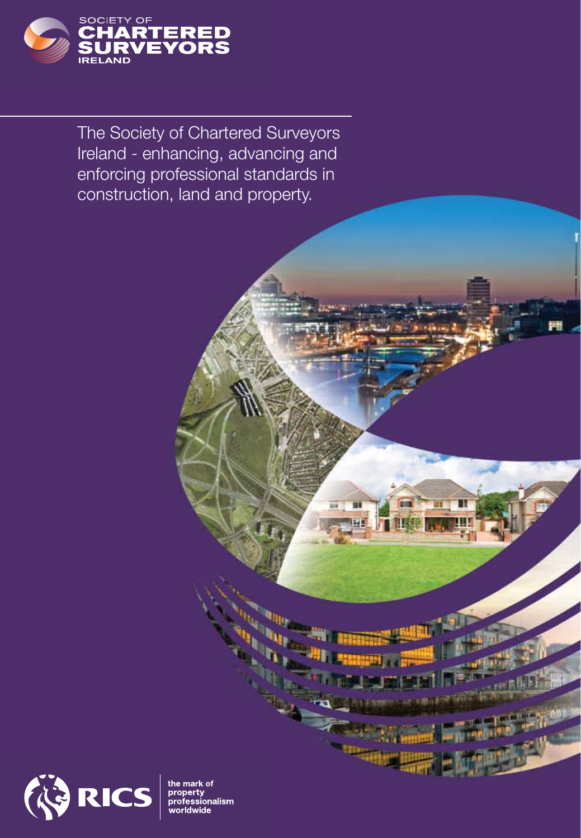

The Society of Chartered Surveyors Ireland - enhancing, advancing and enforcing professional standards in construction, land and property.



the mark of<br>property<br>profession nalism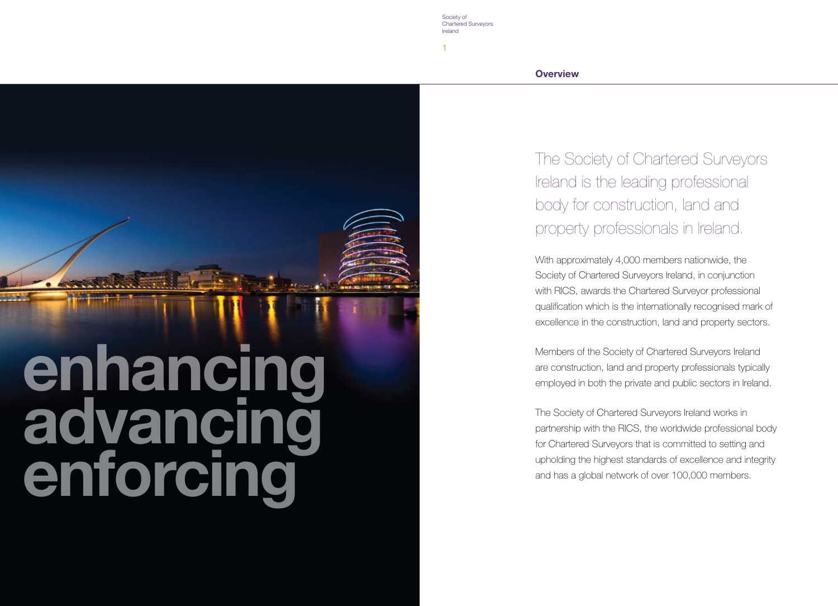

Society of Chartered Surveyors Ireland

1

**Overview**

The Society of Chartered Surveyors Ireland is the leading professional body for construction, land and property professionals in Ireland.

With approximately 4,000 members nationwide, the Society of Chartered Surveyors Ireland, in conjunction with RICS, awards the Chartered Surveyor professional qualification which is the internationally recognised mark of excellence in the construction, land and property sectors.

Members of the Society of Chartered Surveyors Ireland are construction, land and property professionals typically employed in both the private and public sectors in Ireland.

The Society of Chartered Surveyors Ireland works in partnership with the RICS, the worldwide professional body for Chartered Surveyors that is committed to setting and upholding the highest standards of excellence and integrity and has a global network of over 100,000 members.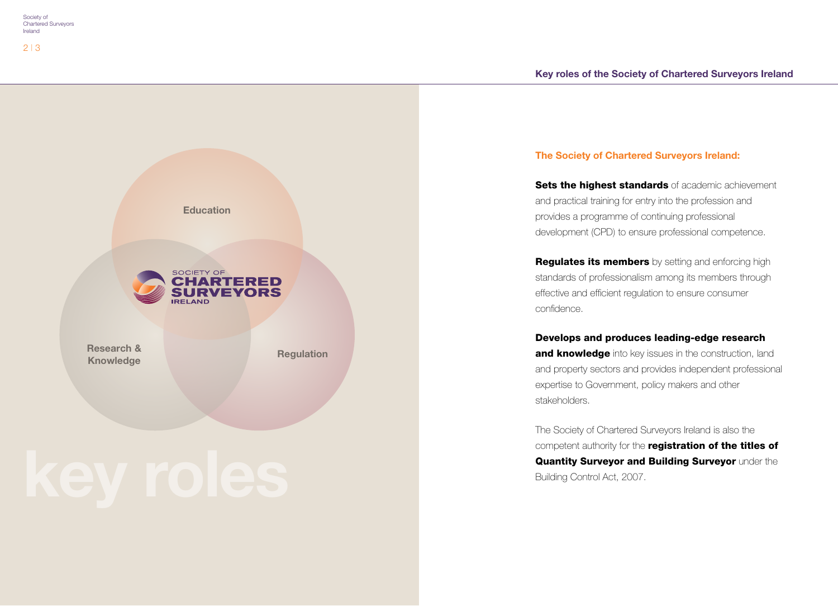

# **The Society of Chartered Surveyors Ireland:**

Sets the highest standards of academic achievement and practical training for entry into the profession and provides a programme of continuing professional development (CPD) to ensure professional competence.

**Regulates its members** by setting and enforcing high standards of professionalism among its members through effective and efficient regulation to ensure consumer confidence.

# Develops and produces leading-edge research

and knowledge into key issues in the construction, land and property sectors and provides independent professional expertise to Government, policy makers and other stakeholders.

The Society of Chartered Surveyors Ireland is also the competent authority for the **registration of the titles of** Quantity Surveyor and Building Surveyor under the Building Control Act, 2007.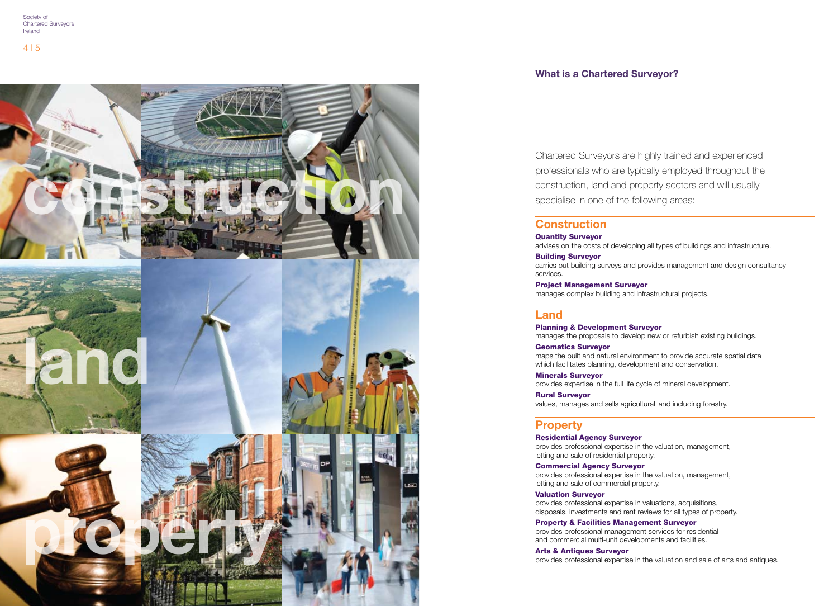## **What is a Chartered Surveyor?**



Chartered Surveyors are highly trained and experienced professionals who are typically employed throughout the construction, land and property sectors and will usually specialise in one of the following areas:

## **Construction**

### Quantity Surveyor

advises on the costs of developing all types of buildings and infrastructure.

### Building Surveyor

carries out building surveys and provides management and design consultancy services.

Project Management Surveyor manages complex building and infrastructural projects.

## **Land**

Planning & Development Surveyor manages the proposals to develop new or refurbish existing buildings.

Geomatics Surveyor

maps the built and natural environment to provide accurate spatial data which facilitates planning, development and conservation.

Minerals Surveyor provides expertise in the full life cycle of mineral development.

Rural Surveyor

values, manages and sells agricultural land including forestry.

## **Property**

### Residential Agency Surveyor

provides professional expertise in the valuation, management, letting and sale of residential property.

Commercial Agency Surveyor

provides professional expertise in the valuation, management, letting and sale of commercial property.

### Valuation Surveyor

provides professional expertise in valuations, acquisitions, disposals, investments and rent reviews for all types of property.

Property & Facilities Management Surveyor provides professional management services for residential and commercial multi-unit developments and facilities.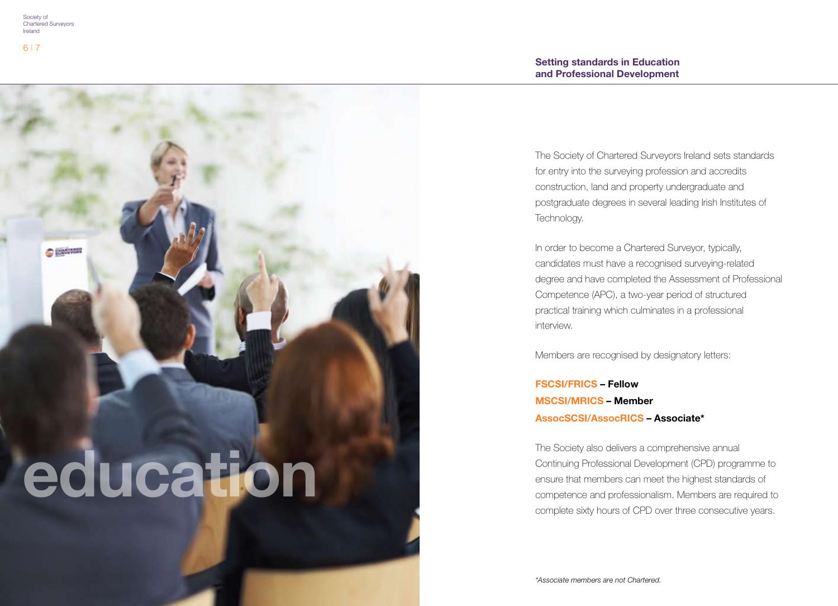**C SUARTISER** 

6 | 7

**education**

The Society of Chartered Surveyors Ireland sets standards for entry into the surveying profession and accredits construction, land and property undergraduate and postgraduate degrees in several leading Irish Institutes of Technology.

In order to become a Chartered Surveyor, typically, candidates must have a recognised surveying-related degree and have completed the Assessment of Professional Competence (APC), a two-year period of structured practical training which culminates in a professional interview.

Members are recognised by designatory letters:

**FSCSI/FRICS – Fellow MSCSI/MRICS – Member AssocSCSI/AssocRICS – Associate\*** 

The Society also delivers a comprehensive annual Continuing Professional Development (CPD) programme to ensure that members can meet the highest standards of competence and professionalism. Members are required to complete sixty hours of CPD over three consecutive years.

*\*Associate members are not Chartered.*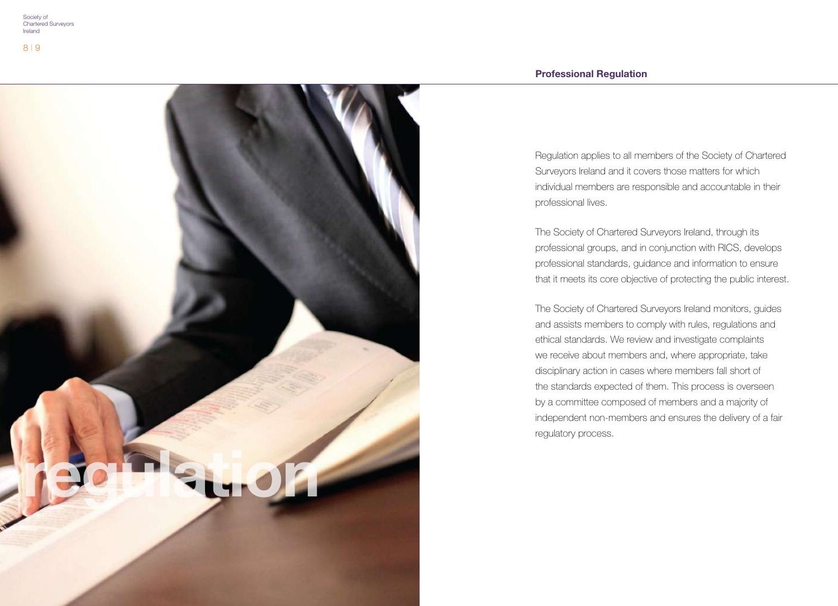# **Professional Regulation**



Regulation applies to all members of the Society of Chartered Surveyors Ireland and it covers those matters for which individual members are responsible and accountable in their professional lives.

The Society of Chartered Surveyors Ireland, through its professional groups, and in conjunction with RICS, develops professional standards, guidance and information to ensure that it meets its core objective of protecting the public interest.

The Society of Chartered Surveyors Ireland monitors, guides and assists members to comply with rules, regulations and ethical standards. We review and investigate complaints we receive about members and, where appropriate, take disciplinary action in cases where members fall short of the standards expected of them. This process is overseen by a committee composed of members and a majority of independent non-members and ensures the delivery of a fair regulatory process.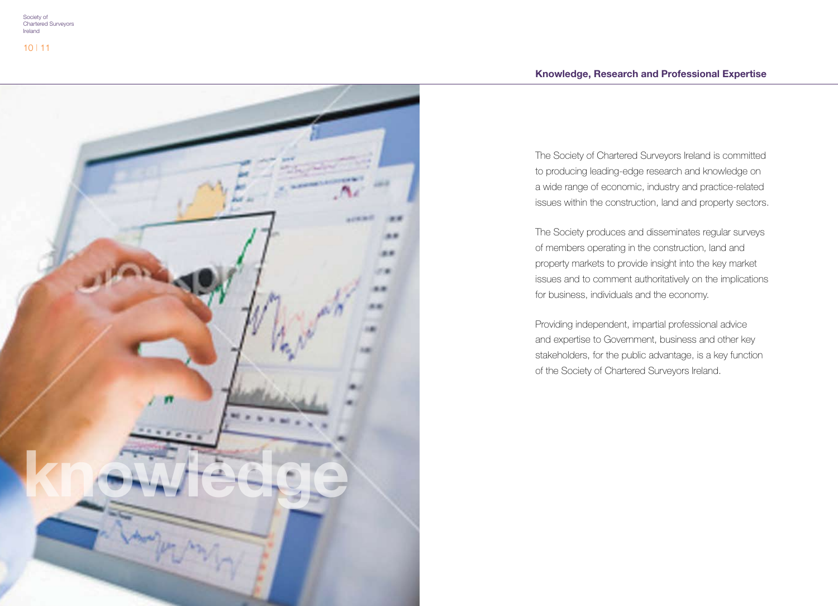

The Society of Chartered Surveyors Ireland is committed to producing leading-edge research and knowledge on a wide range of economic, industry and practice-related issues within the construction, land and property sectors.

The Society produces and disseminates regular surveys of members operating in the construction, land and property markets to provide insight into the key market issues and to comment authoritatively on the implications for business, individuals and the economy.

Providing independent, impartial professional advice and expertise to Government, business and other key stakeholders, for the public advantage, is a key function of the Society of Chartered Surveyors Ireland.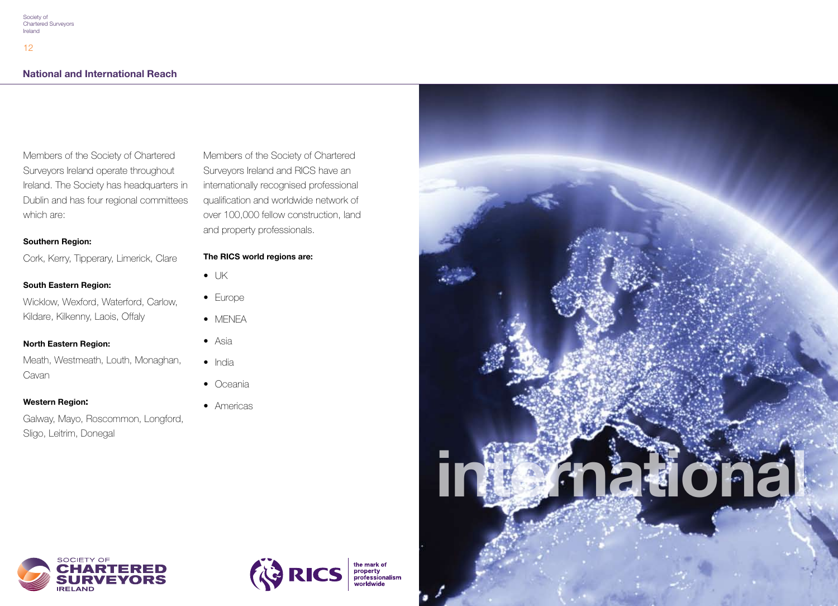# **National and International Reach**

Members of the Society of Chartered Surveyors Ireland operate throughout Ireland. The Society has headquarters in Dublin and has four regional committees which are:

### **Southern Region:**

Cork, Kerry, Tipperary, Limerick, Clare

### **South Eastern Region:**

Wicklow, Wexford, Waterford, Carlow, Kildare, Kilkenny, Laois, Offaly

### **North Eastern Region:**

Meath, Westmeath, Louth, Monaghan, Cavan

### **Western Region:**

Galway, Mayo, Roscommon, Longford, Sligo, Leitrim, Donegal

Members of the Society of Chartered Surveyors Ireland and RICS have an internationally recognised professional qualification and worldwide network of over 100,000 fellow construction, land and property professionals.

### **The RICS world regions are:**

- $\bullet$  UK
- Europe
- MENEA
- Asia
- India
- Oceania
- Americas







the mark of<br>property<br>professionalism<br>worldwide